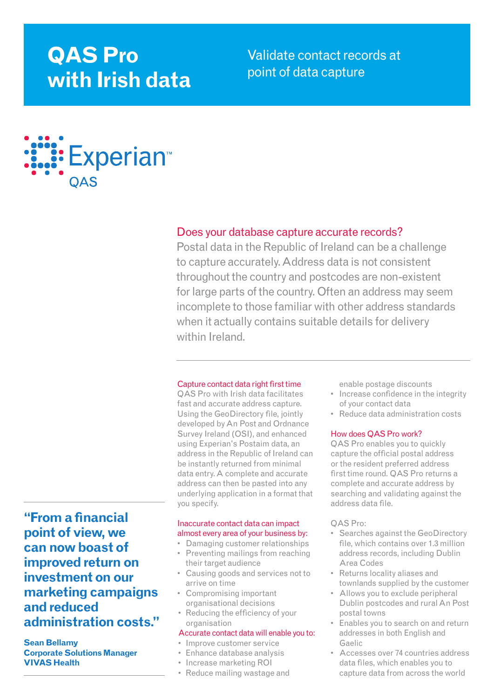# **QAS Pro with Irish data**

Validate contact records at point of data capture



# Does your database capture accurate records?

Postal data in the Republic of Ireland can be a challenge to capture accurately. Address data is not consistent throughout the country and postcodes are non-existent for large parts of the country. Often an address may seem incomplete to those familiar with other address standards when it actually contains suitable details for delivery within Ireland.

#### Capture contact data right first time

QAS Pro with Irish data facilitates fast and accurate address capture. Using the GeoDirectory file, jointly developed by An Post and Ordnance Survey Ireland (OSI), and enhanced using Experian's Postaim data, an address in the Republic of Ireland can be instantly returned from minimal data entry. A complete and accurate address can then be pasted into any underlying application in a format that you specify.

## Inaccurate contact data can impact almost every area of your business by:

- Damaging customer relationships
- Preventing mailings from reaching their target audience
- Causing goods and services not to arrive on time
- Compromising important organisational decisions
- Reducing the efficiency of your organisation

#### Accurate contact data will enable you to:

- Improve customer service
- Enhance database analysis
- Increase marketing ROI
- Reduce mailing wastage and

enable postage discounts

- Increase confidence in the integrity of your contact data
- Reduce data administration costs

#### How does QAS Pro work?

QAS Pro enables you to quickly capture the official postal address or the resident preferred address first time round. QAS Pro returns a complete and accurate address by searching and validating against the address data file.

#### QAS Pro:

- Searches against the GeoDirectory file, which contains over 1.3 million address records, including Dublin Area Codes
- Returns locality aliases and townlands supplied by the customer
- Allows you to exclude peripheral Dublin postcodes and rural An Post postal towns
- Enables you to search on and return addresses in both English and Gaelic
- Accesses over 74 countries address data files, which enables you to capture data from across the world

**"From a financial point of view, we can now boast of improved return on investment on our marketing campaigns and reduced administration costs."**

**Sean Bellamy Corporate Solutions Manager VIVAS Health**